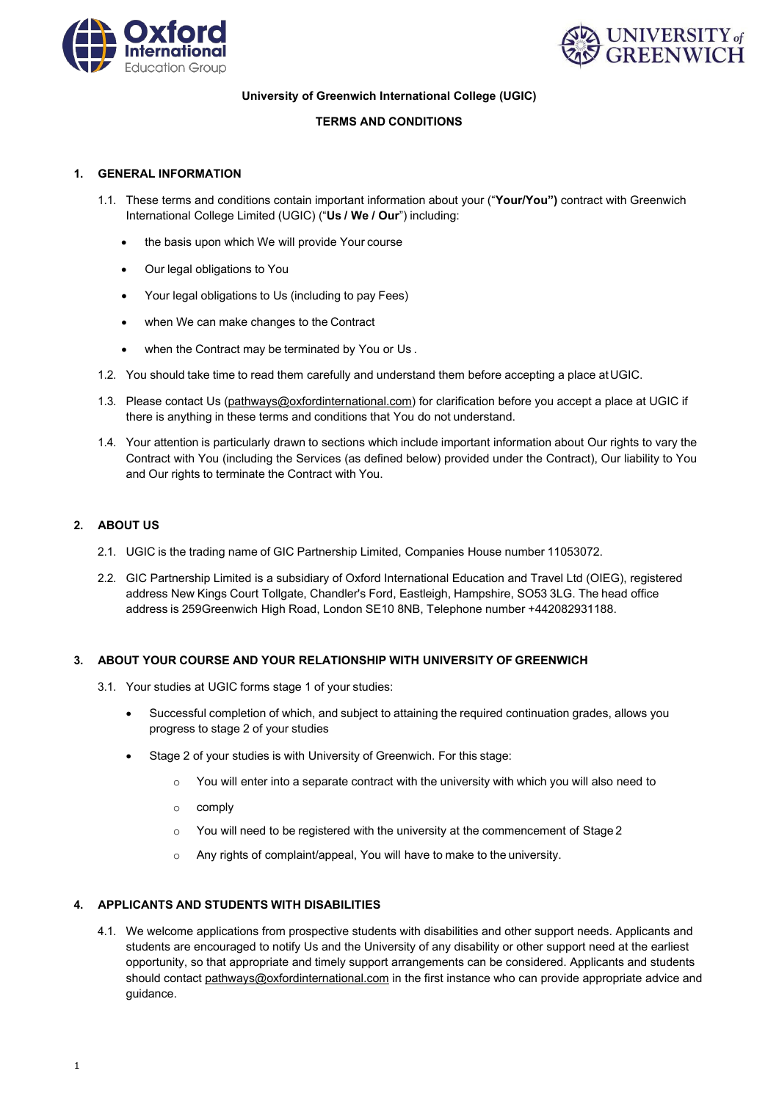



## **University of Greenwich International College (UGIC)**

## **TERMS AND CONDITIONS**

#### **1. GENERAL INFORMATION**

- 1.1. These terms and conditions contain important information about your ("**Your/You")** contract with Greenwich International College Limited (UGIC) ("**Us / We / Our**") including:
	- the basis upon which We will provide Your course
	- Our legal obligations to You
	- Your legal obligations to Us (including to pay Fees)
	- when We can make changes to the Contract
	- when the Contract may be terminated by You or Us.
- 1.2. You should take time to read them carefully and understand them before accepting a place atUGIC.
- 1.3. Please contact Us [\(pathways@oxfordinternational.com\)](mailto:pathways@oxfordinternational.com) for clarification before you accept a place at UGIC if there is anything in these terms and conditions that You do not understand.
- 1.4. Your attention is particularly drawn to sections which include important information about Our rights to vary the Contract with You (including the Services (as defined below) provided under the Contract), Our liability to You and Our rights to terminate the Contract with You.

## **2. ABOUT US**

- 2.1. UGIC is the trading name of GIC Partnership Limited, Companies House number 11053072.
- 2.2. GIC Partnership Limited is a subsidiary of Oxford International Education and Travel Ltd (OIEG), registered address New Kings Court Tollgate, Chandler's Ford, Eastleigh, Hampshire, SO53 3LG. The head office address is 259Greenwich High Road, London SE10 8NB, Telephone number +442082931188.

## **3. ABOUT YOUR COURSE AND YOUR RELATIONSHIP WITH UNIVERSITY OF GREENWICH**

- 3.1. Your studies at UGIC forms stage 1 of your studies:
	- Successful completion of which, and subject to attaining the required continuation grades, allows you progress to stage 2 of your studies
	- Stage 2 of your studies is with University of Greenwich. For this stage:
		- $\circ$  You will enter into a separate contract with the university with which you will also need to
		- o comply
		- o You will need to be registered with the university at the commencement of Stage 2
		- o Any rights of complaint/appeal, You will have to make to the university.

# **4. APPLICANTS AND STUDENTS WITH DISABILITIES**

4.1. We welcome applications from prospective students with disabilities and other support needs. Applicants and students are encouraged to notify Us and the University of any disability or other support need at the earliest opportunity, so that appropriate and timely support arrangements can be considered. Applicants and students should contact [pathways@oxfordinternational.com in](mailto:pathways@oxfordinternational.com) the first instance who can provide appropriate advice and guidance.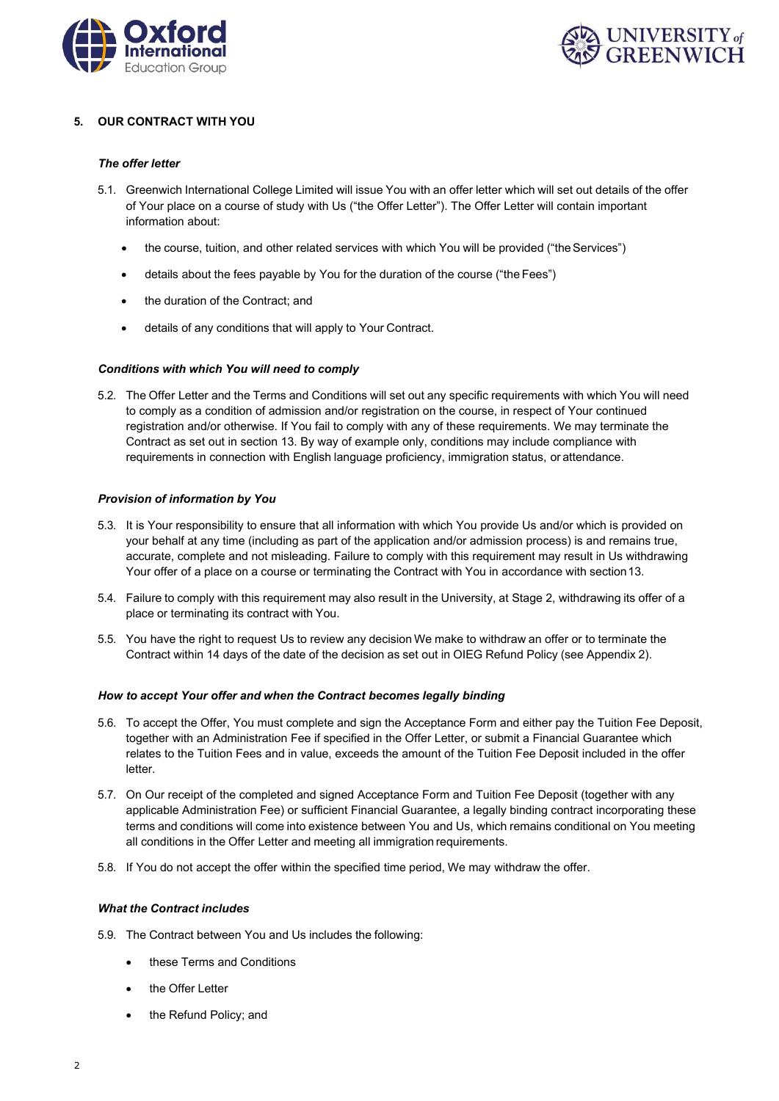



# **5. OUR CONTRACT WITH YOU**

# *The offer letter*

- 5.1. Greenwich International College Limited will issue You with an offer letter which will set out details of the offer of Your place on a course of study with Us ("the Offer Letter"). The Offer Letter will contain important information about:
	- the course, tuition, and other related services with which You will be provided ("the Services")
	- details about the fees payable by You for the duration of the course ("the Fees")
	- the duration of the Contract: and
	- details of any conditions that will apply to Your Contract.

### *Conditions with which You will need to comply*

5.2. The Offer Letter and the Terms and Conditions will set out any specific requirements with which You will need to comply as a condition of admission and/or registration on the course, in respect of Your continued registration and/or otherwise. If You fail to comply with any of these requirements. We may terminate the Contract as set out in section 13. By way of example only, conditions may include compliance with requirements in connection with English language proficiency, immigration status, or attendance.

### *Provision of information by You*

- 5.3. It is Your responsibility to ensure that all information with which You provide Us and/or which is provided on your behalf at any time (including as part of the application and/or admission process) is and remains true, accurate, complete and not misleading. Failure to comply with this requirement may result in Us withdrawing Your offer of a place on a course or terminating the Contract with You in accordance with section13.
- 5.4. Failure to comply with this requirement may also result in the University, at Stage 2, withdrawing its offer of a place or terminating its contract with You.
- 5.5. You have the right to request Us to review any decision We make to withdraw an offer or to terminate the Contract within 14 days of the date of the decision as set out in OIEG Refund Policy (see Appendix 2).

#### *How to accept Your offer and when the Contract becomes legally binding*

- 5.6. To accept the Offer, You must complete and sign the Acceptance Form and either pay the Tuition Fee Deposit, together with an Administration Fee if specified in the Offer Letter, or submit a Financial Guarantee which relates to the Tuition Fees and in value, exceeds the amount of the Tuition Fee Deposit included in the offer letter.
- 5.7. On Our receipt of the completed and signed Acceptance Form and Tuition Fee Deposit (together with any applicable Administration Fee) or sufficient Financial Guarantee, a legally binding contract incorporating these terms and conditions will come into existence between You and Us, which remains conditional on You meeting all conditions in the Offer Letter and meeting all immigration requirements.
- 5.8. If You do not accept the offer within the specified time period, We may withdraw the offer.

#### *What the Contract includes*

- 5.9. The Contract between You and Us includes the following:
	- these Terms and Conditions
	- the Offer Letter
	- the Refund Policy; and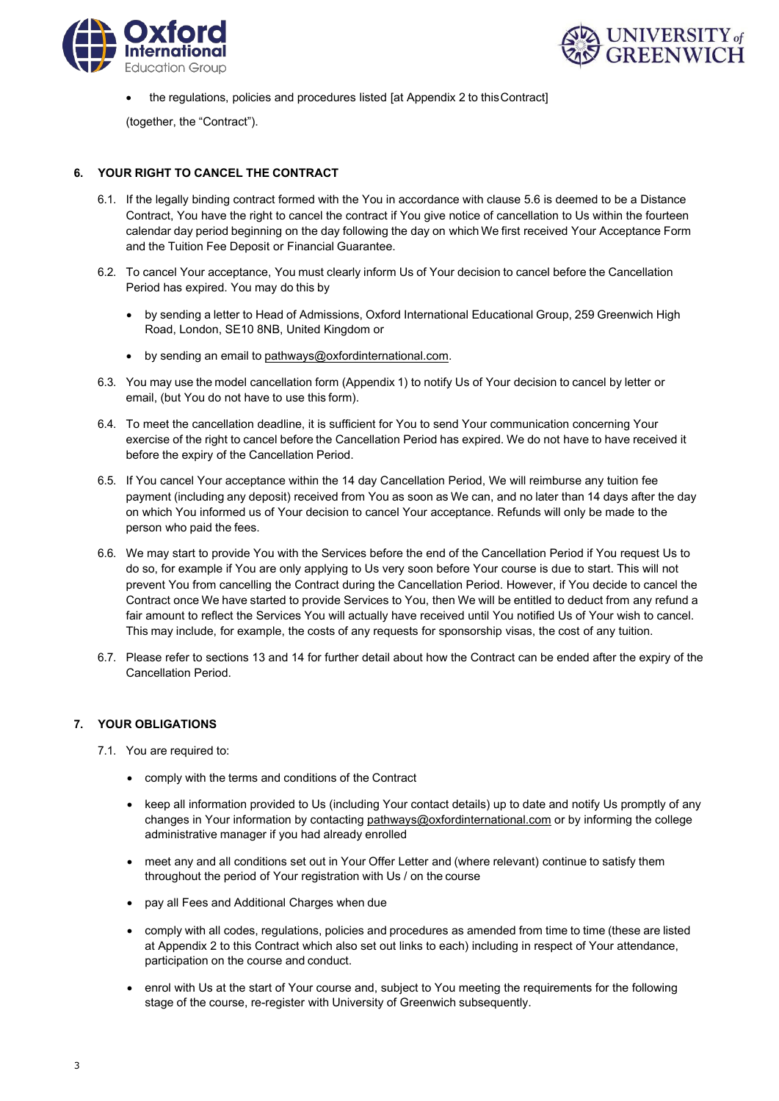



the regulations, policies and procedures listed [at Appendix 2 to this Contract]

(together, the "Contract").

## **6. YOUR RIGHT TO CANCEL THE CONTRACT**

- 6.1. If the legally binding contract formed with the You in accordance with clause 5.6 is deemed to be a Distance Contract, You have the right to cancel the contract if You give notice of cancellation to Us within the fourteen calendar day period beginning on the day following the day on which We first received Your Acceptance Form and the Tuition Fee Deposit or Financial Guarantee.
- 6.2. To cancel Your acceptance, You must clearly inform Us of Your decision to cancel before the Cancellation Period has expired. You may do this by
	- by sending a letter to Head of Admissions, Oxford International Educational Group, 259 Greenwich High Road, London, SE10 8NB, United Kingdom or
	- by sending an email to [pathways@oxfordinternational.com.](mailto:pathways@oxfordinternational.com)
- 6.3. You may use the model cancellation form (Appendix 1) to notify Us of Your decision to cancel by letter or email, (but You do not have to use this form).
- 6.4. To meet the cancellation deadline, it is sufficient for You to send Your communication concerning Your exercise of the right to cancel before the Cancellation Period has expired. We do not have to have received it before the expiry of the Cancellation Period.
- 6.5. If You cancel Your acceptance within the 14 day Cancellation Period, We will reimburse any tuition fee payment (including any deposit) received from You as soon as We can, and no later than 14 days after the day on which You informed us of Your decision to cancel Your acceptance. Refunds will only be made to the person who paid the fees.
- 6.6. We may start to provide You with the Services before the end of the Cancellation Period if You request Us to do so, for example if You are only applying to Us very soon before Your course is due to start. This will not prevent You from cancelling the Contract during the Cancellation Period. However, if You decide to cancel the Contract once We have started to provide Services to You, then We will be entitled to deduct from any refund a fair amount to reflect the Services You will actually have received until You notified Us of Your wish to cancel. This may include, for example, the costs of any requests for sponsorship visas, the cost of any tuition.
- 6.7. Please refer to sections 13 and 14 for further detail about how the Contract can be ended after the expiry of the Cancellation Period.

## **7. YOUR OBLIGATIONS**

- 7.1. You are required to:
	- comply with the terms and conditions of the Contract
	- keep all information provided to Us (including Your contact details) up to date and notify Us promptly of any changes in Your information by contacting [pathways@oxfordinternational.com](mailto:pathways@oxfordinternational.com) or by informing the college administrative manager if you had already enrolled
	- meet any and all conditions set out in Your Offer Letter and (where relevant) continue to satisfy them throughout the period of Your registration with Us / on the course
	- pay all Fees and Additional Charges when due
	- comply with all codes, regulations, policies and procedures as amended from time to time (these are listed at Appendix 2 to this Contract which also set out links to each) including in respect of Your attendance, participation on the course and conduct.
	- enrol with Us at the start of Your course and, subject to You meeting the requirements for the following stage of the course, re-register with University of Greenwich subsequently.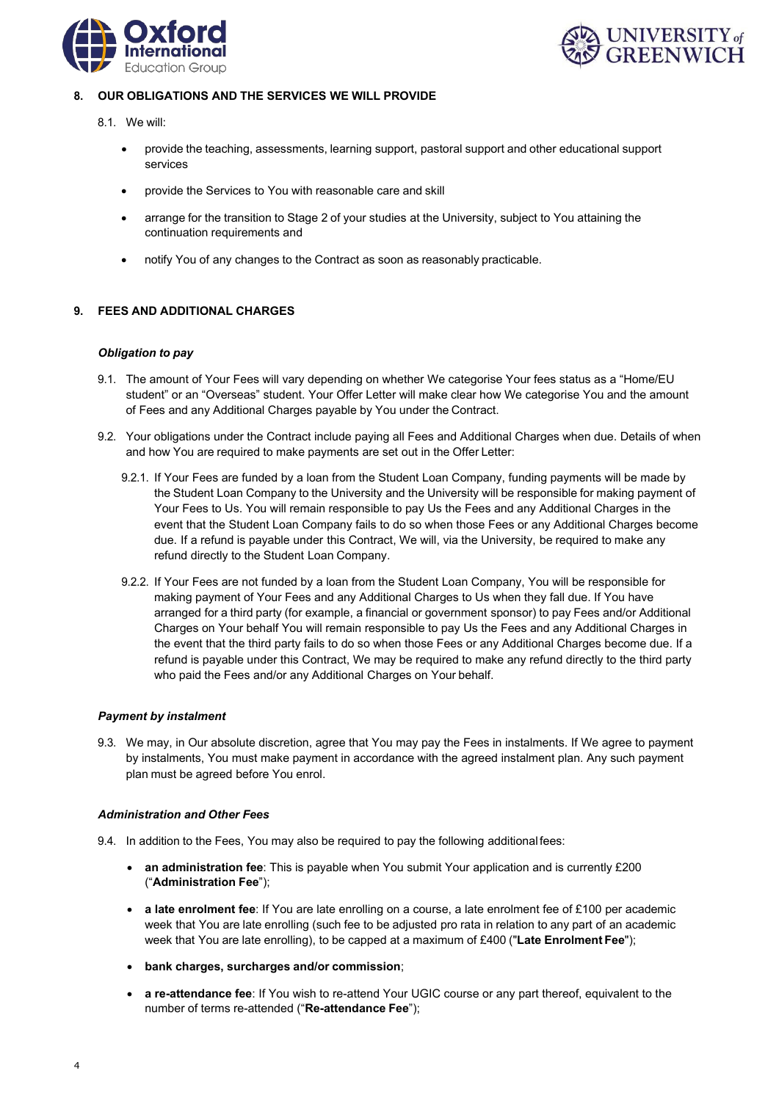



### **8. OUR OBLIGATIONS AND THE SERVICES WE WILL PROVIDE**

- 8.1. We will:
	- provide the teaching, assessments, learning support, pastoral support and other educational support services
	- provide the Services to You with reasonable care and skill
	- arrange for the transition to Stage 2 of your studies at the University, subject to You attaining the continuation requirements and
	- notify You of any changes to the Contract as soon as reasonably practicable.

# **9. FEES AND ADDITIONAL CHARGES**

#### *Obligation to pay*

- 9.1. The amount of Your Fees will vary depending on whether We categorise Your fees status as a "Home/EU student" or an "Overseas" student. Your Offer Letter will make clear how We categorise You and the amount of Fees and any Additional Charges payable by You under the Contract.
- 9.2. Your obligations under the Contract include paying all Fees and Additional Charges when due. Details of when and how You are required to make payments are set out in the Offer Letter:
	- 9.2.1. If Your Fees are funded by a loan from the Student Loan Company, funding payments will be made by the Student Loan Company to the University and the University will be responsible for making payment of Your Fees to Us. You will remain responsible to pay Us the Fees and any Additional Charges in the event that the Student Loan Company fails to do so when those Fees or any Additional Charges become due. If a refund is payable under this Contract, We will, via the University, be required to make any refund directly to the Student Loan Company.
	- 9.2.2. If Your Fees are not funded by a loan from the Student Loan Company, You will be responsible for making payment of Your Fees and any Additional Charges to Us when they fall due. If You have arranged for a third party (for example, a financial or government sponsor) to pay Fees and/or Additional Charges on Your behalf You will remain responsible to pay Us the Fees and any Additional Charges in the event that the third party fails to do so when those Fees or any Additional Charges become due. If a refund is payable under this Contract, We may be required to make any refund directly to the third party who paid the Fees and/or any Additional Charges on Your behalf.

#### *Payment by instalment*

9.3. We may, in Our absolute discretion, agree that You may pay the Fees in instalments. If We agree to payment by instalments, You must make payment in accordance with the agreed instalment plan. Any such payment plan must be agreed before You enrol.

#### *Administration and Other Fees*

- 9.4. In addition to the Fees, You may also be required to pay the following additional fees:
	- **an administration fee**: This is payable when You submit Your application and is currently £200 ("**Administration Fee**");
	- **a late enrolment fee**: If You are late enrolling on a course, a late enrolment fee of £100 per academic week that You are late enrolling (such fee to be adjusted pro rata in relation to any part of an academic week that You are late enrolling), to be capped at a maximum of £400 ("**Late Enrolment Fee**");
	- **bank charges, surcharges and/or commission**;
	- **a re-attendance fee**: If You wish to re-attend Your UGIC course or any part thereof, equivalent to the number of terms re-attended ("**Re-attendance Fee**");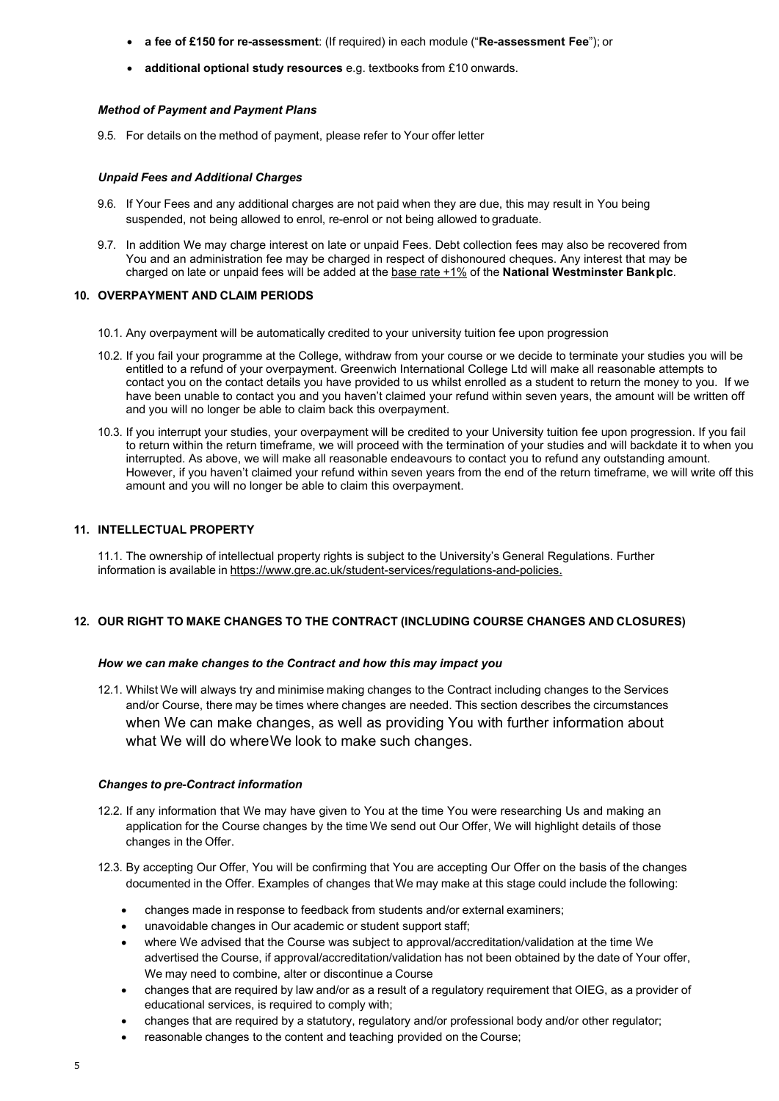- **a fee of £150 for re-assessment**: (If required) in each module ("**Re-assessment Fee**"); or
- **additional optional study resources** e.g. textbooks from £10 onwards.

### *Method of Payment and Payment Plans*

9.5. For details on the method of payment, please refer to Your offer letter

#### *Unpaid Fees and Additional Charges*

- 9.6. If Your Fees and any additional charges are not paid when they are due, this may result in You being suspended, not being allowed to enrol, re-enrol or not being allowed to graduate.
- 9.7. In addition We may charge interest on late or unpaid Fees. Debt collection fees may also be recovered from You and an administration fee may be charged in respect of dishonoured cheques. Any interest that may be charged on late or unpaid fees will be added at the base rate +1% of the **National Westminster Bankplc**.

### **10. OVERPAYMENT AND CLAIM PERIODS**

- 10.1. Any overpayment will be automatically credited to your university tuition fee upon progression
- 10.2. If you fail your programme at the College, withdraw from your course or we decide to terminate your studies you will be entitled to a refund of your overpayment. Greenwich International College Ltd will make all reasonable attempts to contact you on the contact details you have provided to us whilst enrolled as a student to return the money to you. If we have been unable to contact you and you haven't claimed your refund within seven years, the amount will be written off and you will no longer be able to claim back this overpayment.
- 10.3. If you interrupt your studies, your overpayment will be credited to your University tuition fee upon progression. If you fail to return within the return timeframe, we will proceed with the termination of your studies and will backdate it to when you interrupted. As above, we will make all reasonable endeavours to contact you to refund any outstanding amount. However, if you haven't claimed your refund within seven years from the end of the return timeframe, we will write off this amount and you will no longer be able to claim this overpayment.

## **11. INTELLECTUAL PROPERTY**

11.1. The ownership of intellectual property rights is subject to the University's General Regulations. Further information is available in [https://www.gre.ac.uk/student-services/regulations-and-policies.](https://www.gre.ac.uk/student-services/regulations-and-policies)

# **12. OUR RIGHT TO MAKE CHANGES TO THE CONTRACT (INCLUDING COURSE CHANGES AND CLOSURES)**

#### *How we can make changes to the Contract and how this may impact you*

12.1. Whilst We will always try and minimise making changes to the Contract including changes to the Services and/or Course, there may be times where changes are needed. This section describes the circumstances when We can make changes, as well as providing You with further information about what We will do whereWe look to make such changes.

### *Changes to pre-Contract information*

- 12.2. If any information that We may have given to You at the time You were researching Us and making an application for the Course changes by the time We send out Our Offer, We will highlight details of those changes in the Offer.
- 12.3. By accepting Our Offer, You will be confirming that You are accepting Our Offer on the basis of the changes documented in the Offer. Examples of changes that We may make at this stage could include the following:
	- changes made in response to feedback from students and/or external examiners;
	- unavoidable changes in Our academic or student support staff;
	- where We advised that the Course was subject to approval/accreditation/validation at the time We advertised the Course, if approval/accreditation/validation has not been obtained by the date of Your offer, We may need to combine, alter or discontinue a Course
	- changes that are required by law and/or as a result of a regulatory requirement that OIEG, as a provider of educational services, is required to comply with;
	- changes that are required by a statutory, regulatory and/or professional body and/or other regulator;
	- reasonable changes to the content and teaching provided on the Course;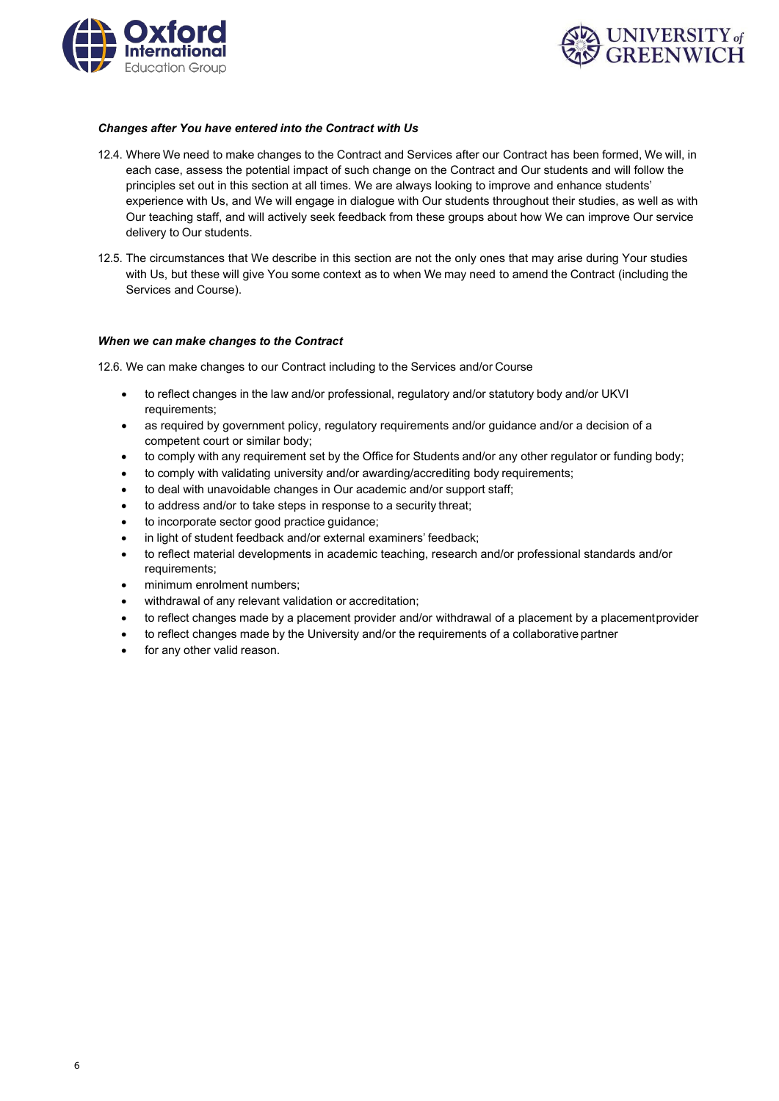



### *Changes after You have entered into the Contract with Us*

- 12.4. Where We need to make changes to the Contract and Services after our Contract has been formed, We will, in each case, assess the potential impact of such change on the Contract and Our students and will follow the principles set out in this section at all times. We are always looking to improve and enhance students' experience with Us, and We will engage in dialogue with Our students throughout their studies, as well as with Our teaching staff, and will actively seek feedback from these groups about how We can improve Our service delivery to Our students.
- 12.5. The circumstances that We describe in this section are not the only ones that may arise during Your studies with Us, but these will give You some context as to when We may need to amend the Contract (including the Services and Course).

#### *When we can make changes to the Contract*

12.6. We can make changes to our Contract including to the Services and/or Course

- to reflect changes in the law and/or professional, regulatory and/or statutory body and/or UKVI requirements;
- as required by government policy, regulatory requirements and/or guidance and/or a decision of a competent court or similar body;
- to comply with any requirement set by the Office for Students and/or any other regulator or funding body;
- to comply with validating university and/or awarding/accrediting body requirements;
- to deal with unavoidable changes in Our academic and/or support staff;
- to address and/or to take steps in response to a security threat;
- to incorporate sector good practice guidance;
- in light of student feedback and/or external examiners' feedback;
- to reflect material developments in academic teaching, research and/or professional standards and/or requirements;
- minimum enrolment numbers;
- withdrawal of any relevant validation or accreditation;
- to reflect changes made by a placement provider and/or withdrawal of a placement by a placementprovider
- to reflect changes made by the University and/or the requirements of a collaborative partner
- for any other valid reason.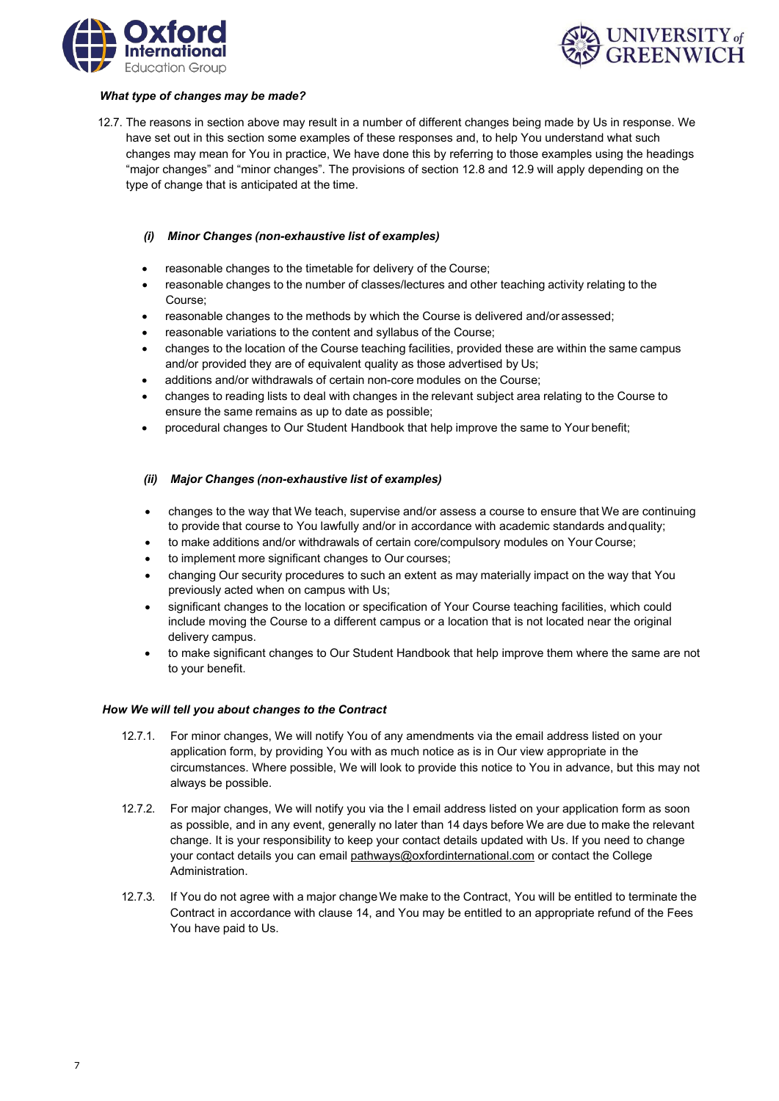



### *What type of changes may be made?*

12.7. The reasons in section above may result in a number of different changes being made by Us in response. We have set out in this section some examples of these responses and, to help You understand what such changes may mean for You in practice, We have done this by referring to those examples using the headings "major changes" and "minor changes". The provisions of section 12.8 and 12.9 will apply depending on the type of change that is anticipated at the time.

#### *(i) Minor Changes (non-exhaustive list of examples)*

- reasonable changes to the timetable for delivery of the Course;
- reasonable changes to the number of classes/lectures and other teaching activity relating to the Course;
- reasonable changes to the methods by which the Course is delivered and/or assessed;
- reasonable variations to the content and syllabus of the Course;
- changes to the location of the Course teaching facilities, provided these are within the same campus and/or provided they are of equivalent quality as those advertised by Us;
- additions and/or withdrawals of certain non-core modules on the Course;
- changes to reading lists to deal with changes in the relevant subject area relating to the Course to ensure the same remains as up to date as possible;
- procedural changes to Our Student Handbook that help improve the same to Your benefit;

### *(ii) Major Changes (non-exhaustive list of examples)*

- changes to the way that We teach, supervise and/or assess a course to ensure that We are continuing to provide that course to You lawfully and/or in accordance with academic standards andquality;
- to make additions and/or withdrawals of certain core/compulsory modules on Your Course;
- to implement more significant changes to Our courses;
- changing Our security procedures to such an extent as may materially impact on the way that You previously acted when on campus with Us;
- significant changes to the location or specification of Your Course teaching facilities, which could include moving the Course to a different campus or a location that is not located near the original delivery campus.
- to make significant changes to Our Student Handbook that help improve them where the same are not to your benefit.

#### *How We will tell you about changes to the Contract*

- 12.7.1. For minor changes, We will notify You of any amendments via the email address listed on your application form, by providing You with as much notice as is in Our view appropriate in the circumstances. Where possible, We will look to provide this notice to You in advance, but this may not always be possible.
- 12.7.2. For major changes, We will notify you via the l email address listed on your application form as soon as possible, and in any event, generally no later than 14 days before We are due to make the relevant change. It is your responsibility to keep your contact details updated with Us. If you need to change your contact details you can email [pathways@oxfordinternational.com](mailto:pathways@oxfordinternational.com) or contact the College Administration.
- 12.7.3. If You do not agree with a major changeWe make to the Contract, You will be entitled to terminate the Contract in accordance with clause 14, and You may be entitled to an appropriate refund of the Fees You have paid to Us.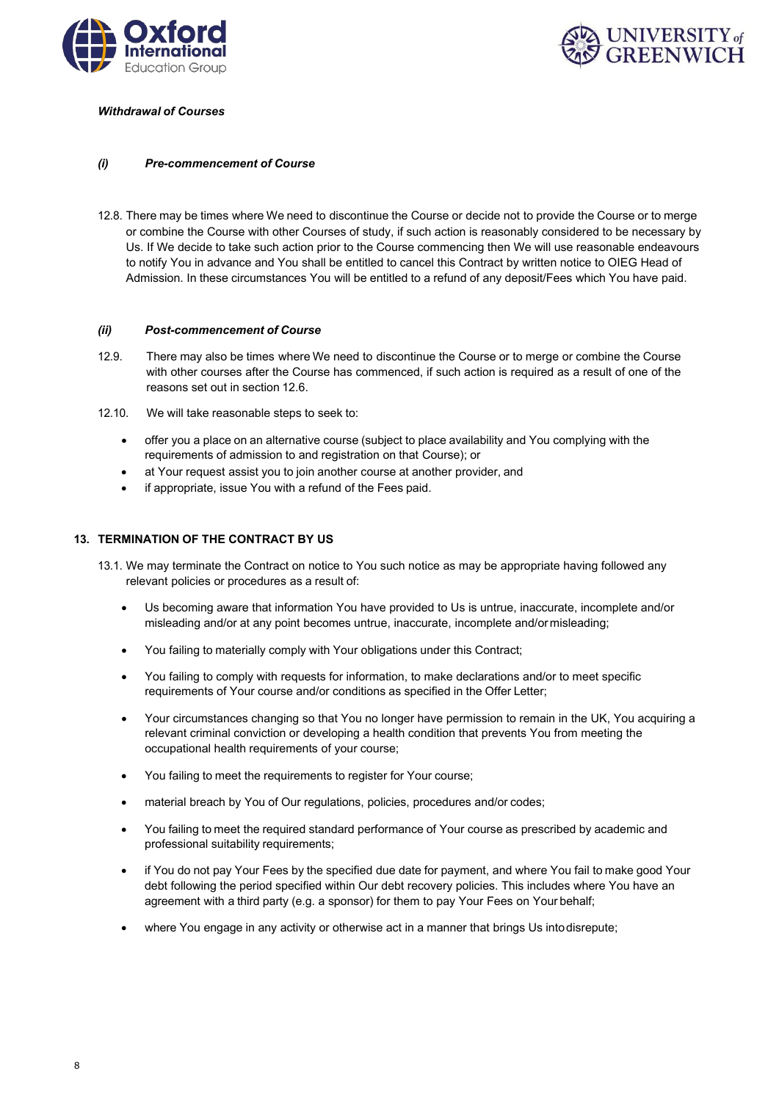



# *Withdrawal of Courses*

### *(i) Pre-commencement of Course*

12.8. There may be times where We need to discontinue the Course or decide not to provide the Course or to merge or combine the Course with other Courses of study, if such action is reasonably considered to be necessary by Us. If We decide to take such action prior to the Course commencing then We will use reasonable endeavours to notify You in advance and You shall be entitled to cancel this Contract by written notice to OIEG Head of Admission. In these circumstances You will be entitled to a refund of any deposit/Fees which You have paid.

#### *(ii) Post-commencement of Course*

- 12.9. There may also be times where We need to discontinue the Course or to merge or combine the Course with other courses after the Course has commenced, if such action is required as a result of one of the reasons set out in section 12.6.
- 12.10. We will take reasonable steps to seek to:
	- offer you a place on an alternative course (subject to place availability and You complying with the requirements of admission to and registration on that Course); or
	- at Your request assist you to join another course at another provider, and
	- if appropriate, issue You with a refund of the Fees paid.

### **13. TERMINATION OF THE CONTRACT BY US**

- 13.1. We may terminate the Contract on notice to You such notice as may be appropriate having followed any relevant policies or procedures as a result of:
	- Us becoming aware that information You have provided to Us is untrue, inaccurate, incomplete and/or misleading and/or at any point becomes untrue, inaccurate, incomplete and/ormisleading;
	- You failing to materially comply with Your obligations under this Contract;
	- You failing to comply with requests for information, to make declarations and/or to meet specific requirements of Your course and/or conditions as specified in the Offer Letter;
	- Your circumstances changing so that You no longer have permission to remain in the UK, You acquiring a relevant criminal conviction or developing a health condition that prevents You from meeting the occupational health requirements of your course;
	- You failing to meet the requirements to register for Your course;
	- material breach by You of Our regulations, policies, procedures and/or codes;
	- You failing to meet the required standard performance of Your course as prescribed by academic and professional suitability requirements;
	- if You do not pay Your Fees by the specified due date for payment, and where You fail to make good Your debt following the period specified within Our debt recovery policies. This includes where You have an agreement with a third party (e.g. a sponsor) for them to pay Your Fees on Your behalf;
	- where You engage in any activity or otherwise act in a manner that brings Us intodisrepute;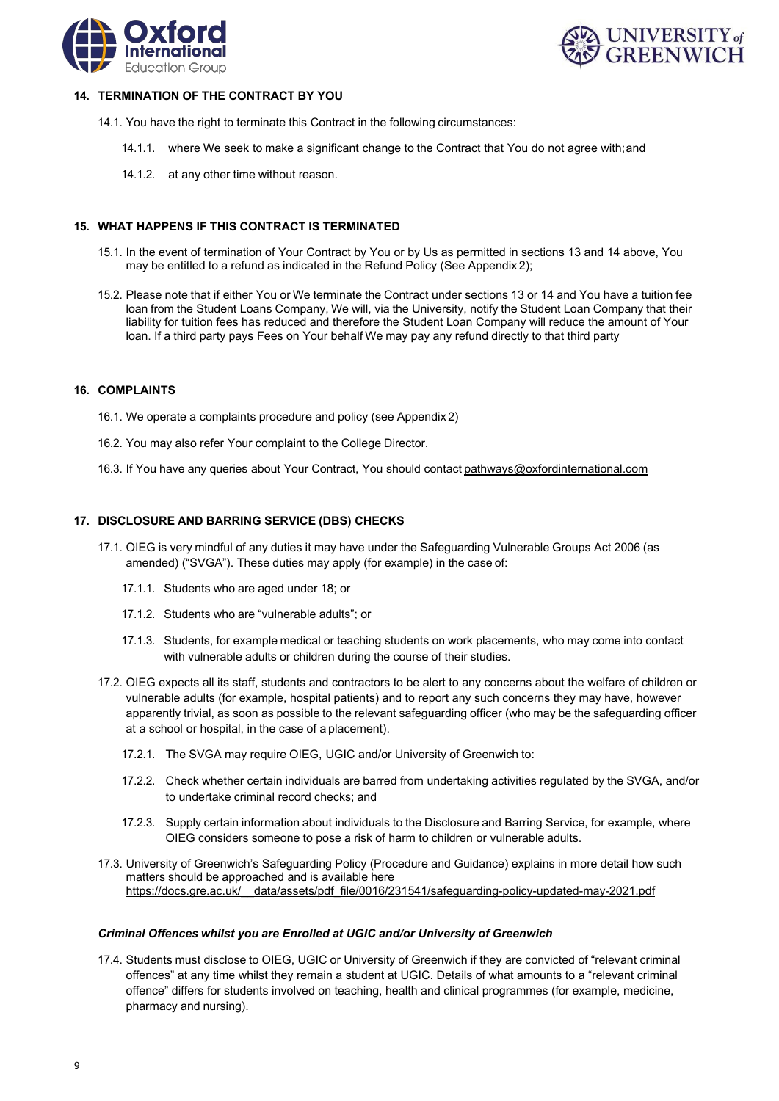



### **14. TERMINATION OF THE CONTRACT BY YOU**

- 14.1. You have the right to terminate this Contract in the following circumstances:
	- 14.1.1. where We seek to make a significant change to the Contract that You do not agree with;and
	- 14.1.2. at any other time without reason.

## **15. WHAT HAPPENS IF THIS CONTRACT IS TERMINATED**

- 15.1. In the event of termination of Your Contract by You or by Us as permitted in sections 13 and 14 above, You may be entitled to a refund as indicated in the Refund Policy (See Appendix 2);
- 15.2. Please note that if either You or We terminate the Contract under sections 13 or 14 and You have a tuition fee loan from the Student Loans Company, We will, via the University, notify the Student Loan Company that their liability for tuition fees has reduced and therefore the Student Loan Company will reduce the amount of Your loan. If a third party pays Fees on Your behalf We may pay any refund directly to that third party

#### **16. COMPLAINTS**

- 16.1. We operate a complaints procedure and policy (see Appendix 2)
- 16.2. You may also refer Your complaint to the College Director.
- 16.3. If You have any queries about Your Contract, You should contact [pathways@oxfordinternational.com](mailto:pathways@oxfordinternational.com)

#### **17. DISCLOSURE AND BARRING SERVICE (DBS) CHECKS**

- 17.1. OIEG is very mindful of any duties it may have under the Safeguarding Vulnerable Groups Act 2006 (as amended) ("SVGA"). These duties may apply (for example) in the case of:
	- 17.1.1. Students who are aged under 18; or
	- 17.1.2. Students who are "vulnerable adults"; or
	- 17.1.3. Students, for example medical or teaching students on work placements, who may come into contact with vulnerable adults or children during the course of their studies.
- 17.2. OIEG expects all its staff, students and contractors to be alert to any concerns about the welfare of children or vulnerable adults (for example, hospital patients) and to report any such concerns they may have, however apparently trivial, as soon as possible to the relevant safeguarding officer (who may be the safeguarding officer at a school or hospital, in the case of a placement).
	- 17.2.1. The SVGA may require OIEG, UGIC and/or University of Greenwich to:
	- 17.2.2. Check whether certain individuals are barred from undertaking activities regulated by the SVGA, and/or to undertake criminal record checks; and
	- 17.2.3. Supply certain information about individuals to the Disclosure and Barring Service, for example, where OIEG considers someone to pose a risk of harm to children or vulnerable adults.
- 17.3. University of Greenwich's Safeguarding Policy (Procedure and Guidance) explains in more detail how such matters should be approached and is available [here](http://www.dmu.ac.uk/documents/dmu-staff/pod/safeguarding/dmu-safeguarding-policy.pdf) https://docs.gre.ac.uk/ data/assets/pdf file/0016/231541/safeguarding-policy-updated-may-2021.pdf

### *Criminal Offences whilst you are Enrolled at UGIC and/or University of Greenwich*

17.4. Students must disclose to OIEG, UGIC or University of Greenwich if they are convicted of "relevant criminal offences" at any time whilst they remain a student at UGIC. Details of what amounts to a "relevant criminal offence" differs for students involved on teaching, health and clinical programmes (for example, medicine, pharmacy and nursing).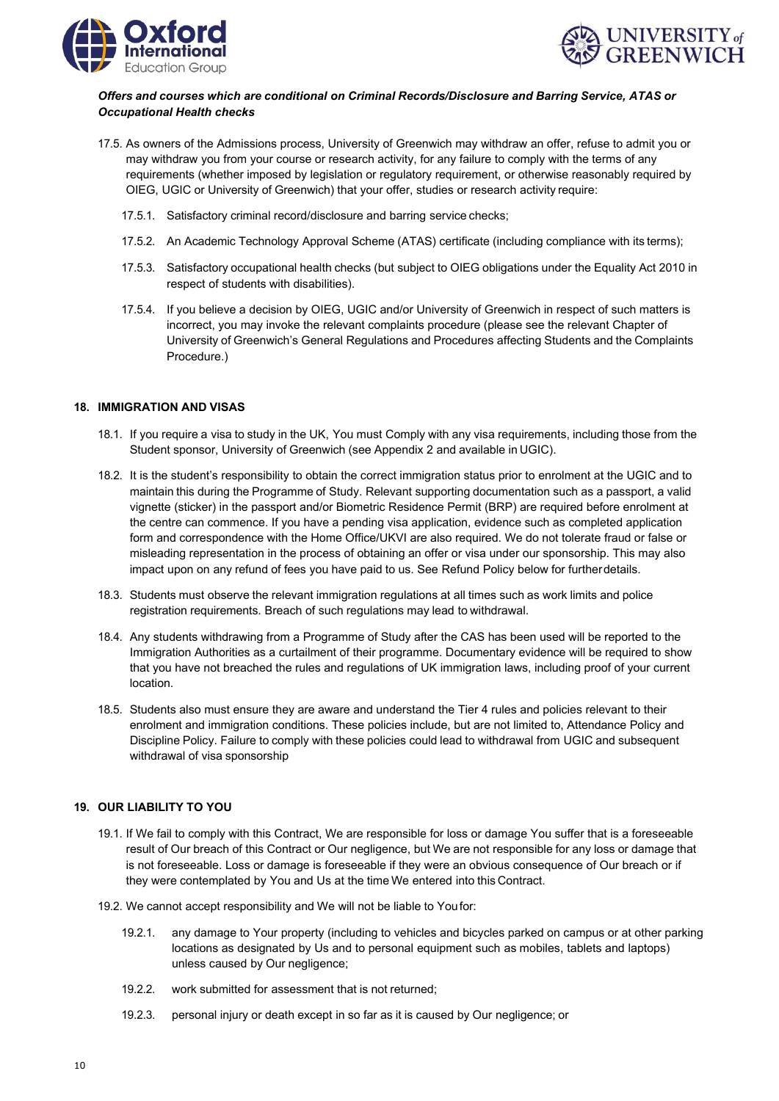



# *Offers and courses which are conditional on Criminal Records/Disclosure and Barring Service, ATAS or Occupational Health checks*

- 17.5. As owners of the Admissions process, University of Greenwich may withdraw an offer, refuse to admit you or may withdraw you from your course or research activity, for any failure to comply with the terms of any requirements (whether imposed by legislation or regulatory requirement, or otherwise reasonably required by OIEG, UGIC or University of Greenwich) that your offer, studies or research activity require:
	- 17.5.1. Satisfactory criminal record/disclosure and barring service checks;
	- 17.5.2. An Academic Technology Approval Scheme (ATAS) certificate (including compliance with its terms);
	- 17.5.3. Satisfactory occupational health checks (but subject to OIEG obligations under the Equality Act 2010 in respect of students with disabilities).
	- 17.5.4. If you believe a decision by OIEG, UGIC and/or University of Greenwich in respect of such matters is incorrect, you may invoke the relevant complaints procedure (please see the relevant Chapter of University of Greenwich's General Regulations and Procedures affecting Students and the Complaints Procedure.)

### **18. IMMIGRATION AND VISAS**

- 18.1. If you require a visa to study in the UK, You must Comply with any visa requirements, including those from the Student sponsor, University of Greenwich (see Appendix 2 and available in UGIC).
- 18.2. It is the student's responsibility to obtain the correct immigration status prior to enrolment at the UGIC and to maintain this during the Programme of Study. Relevant supporting documentation such as a passport, a valid vignette (sticker) in the passport and/or Biometric Residence Permit (BRP) are required before enrolment at the centre can commence. If you have a pending visa application, evidence such as completed application form and correspondence with the Home Office/UKVI are also required. We do not tolerate fraud or false or misleading representation in the process of obtaining an offer or visa under our sponsorship. This may also impact upon on any refund of fees you have paid to us. See Refund Policy below for furtherdetails.
- 18.3. Students must observe the relevant immigration regulations at all times such as work limits and police registration requirements. Breach of such regulations may lead to withdrawal.
- 18.4. Any students withdrawing from a Programme of Study after the CAS has been used will be reported to the Immigration Authorities as a curtailment of their programme. Documentary evidence will be required to show that you have not breached the rules and regulations of UK immigration laws, including proof of your current location.
- 18.5. Students also must ensure they are aware and understand the Tier 4 rules and policies relevant to their enrolment and immigration conditions. These policies include, but are not limited to, Attendance Policy and Discipline Policy. Failure to comply with these policies could lead to withdrawal from UGIC and subsequent withdrawal of visa sponsorship

## **19. OUR LIABILITY TO YOU**

- 19.1. If We fail to comply with this Contract, We are responsible for loss or damage You suffer that is a foreseeable result of Our breach of this Contract or Our negligence, but We are not responsible for any loss or damage that is not foreseeable. Loss or damage is foreseeable if they were an obvious consequence of Our breach or if they were contemplated by You and Us at the time We entered into this Contract.
- 19.2. We cannot accept responsibility and We will not be liable to Youfor:
	- 19.2.1. any damage to Your property (including to vehicles and bicycles parked on campus or at other parking locations as designated by Us and to personal equipment such as mobiles, tablets and laptops) unless caused by Our negligence;
	- 19.2.2. work submitted for assessment that is not returned;
	- 19.2.3. personal injury or death except in so far as it is caused by Our negligence; or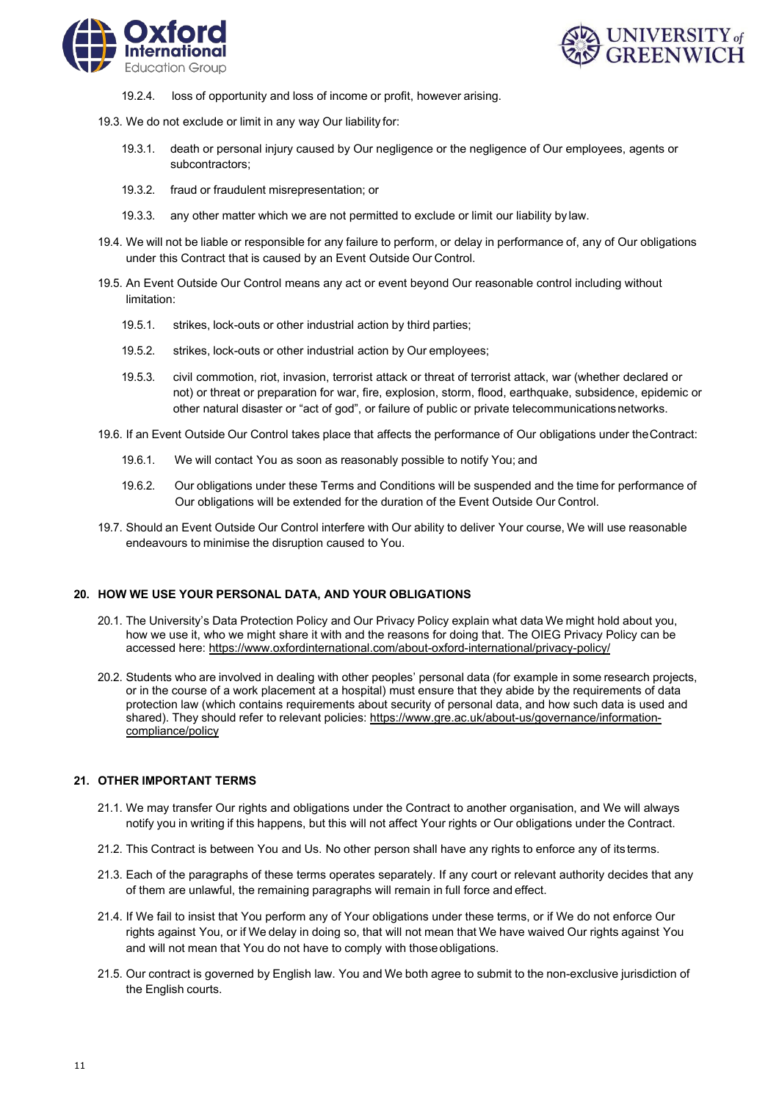



- 19.2.4. loss of opportunity and loss of income or profit, however arising.
- 19.3. We do not exclude or limit in any way Our liability for:
	- 19.3.1. death or personal injury caused by Our negligence or the negligence of Our employees, agents or subcontractors;
	- 19.3.2. fraud or fraudulent misrepresentation; or
	- 19.3.3. any other matter which we are not permitted to exclude or limit our liability by law.
- 19.4. We will not be liable or responsible for any failure to perform, or delay in performance of, any of Our obligations under this Contract that is caused by an Event Outside Our Control.
- 19.5. An Event Outside Our Control means any act or event beyond Our reasonable control including without limitation:
	- 19.5.1. strikes, lock-outs or other industrial action by third parties;
	- 19.5.2. strikes, lock-outs or other industrial action by Our employees;
	- 19.5.3. civil commotion, riot, invasion, terrorist attack or threat of terrorist attack, war (whether declared or not) or threat or preparation for war, fire, explosion, storm, flood, earthquake, subsidence, epidemic or other natural disaster or "act of god", or failure of public or private telecommunications networks.
- 19.6. If an Event Outside Our Control takes place that affects the performance of Our obligations under theContract:
	- 19.6.1. We will contact You as soon as reasonably possible to notify You; and
	- 19.6.2. Our obligations under these Terms and Conditions will be suspended and the time for performance of Our obligations will be extended for the duration of the Event Outside Our Control.
- 19.7. Should an Event Outside Our Control interfere with Our ability to deliver Your course, We will use reasonable endeavours to minimise the disruption caused to You.

#### **20. HOW WE USE YOUR PERSONAL DATA, AND YOUR OBLIGATIONS**

- 20.1. The University's Data Protection Policy and Our Privacy Policy explain what data We might hold about you, how we use it, who we might share it with and the reasons for doing that. The OIEG Privacy Policy can be accessed here: <https://www.oxfordinternational.com/about-oxford-international/privacy-policy/>
- 20.2. Students who are involved in dealing with other peoples' personal data (for example in some research projects, or in the course of a work placement at a hospital) must ensure that they abide by the requirements of data protection law (which contains requirements about security of personal data, and how such data is used and shared). They should refer to relevant policies: [https://www.gre.ac.uk/about-us/governance/information](https://www.gre.ac.uk/about-us/governance/information-compliance/policy)[compliance/policy](https://www.gre.ac.uk/about-us/governance/information-compliance/policy)

#### **21. OTHER IMPORTANT TERMS**

- 21.1. We may transfer Our rights and obligations under the Contract to another organisation, and We will always notify you in writing if this happens, but this will not affect Your rights or Our obligations under the Contract.
- 21.2. This Contract is between You and Us. No other person shall have any rights to enforce any of its terms.
- 21.3. Each of the paragraphs of these terms operates separately. If any court or relevant authority decides that any of them are unlawful, the remaining paragraphs will remain in full force and effect.
- 21.4. If We fail to insist that You perform any of Your obligations under these terms, or if We do not enforce Our rights against You, or if We delay in doing so, that will not mean that We have waived Our rights against You and will not mean that You do not have to comply with thoseobligations.
- 21.5. Our contract is governed by English law. You and We both agree to submit to the non-exclusive jurisdiction of the English courts.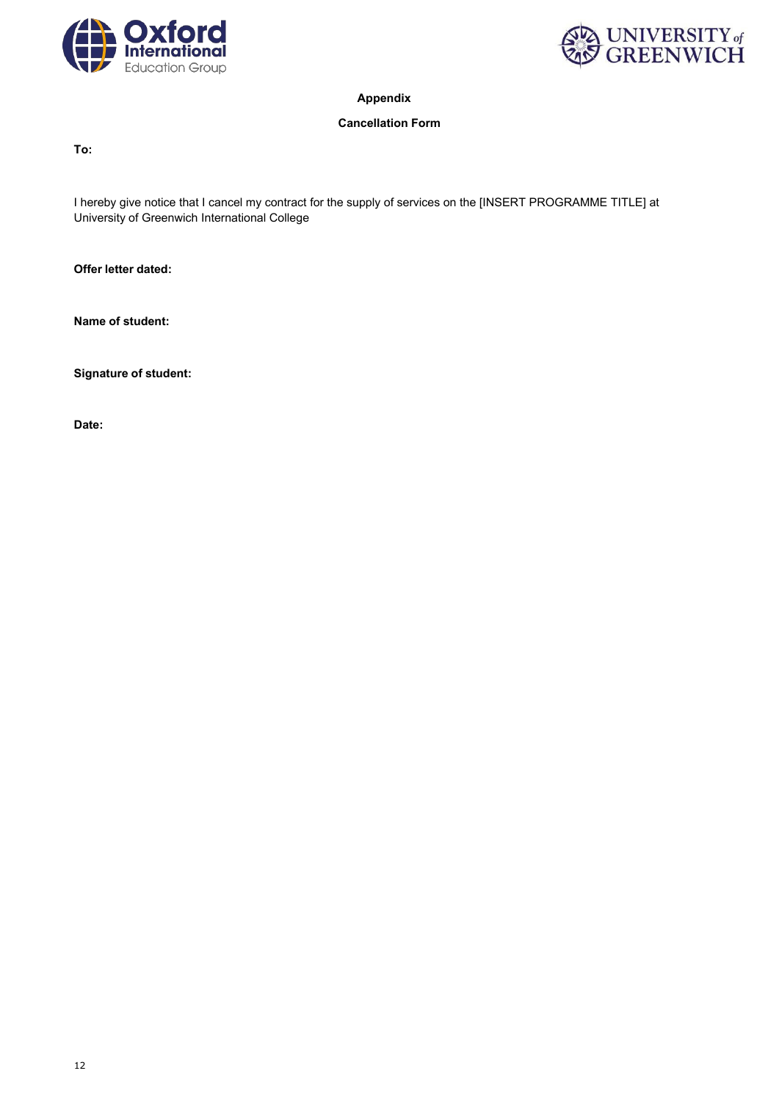



# **Appendix**

# **Cancellation Form**

**To:**

I hereby give notice that I cancel my contract for the supply of services on the [INSERT PROGRAMME TITLE] at University of Greenwich International College

**Offer letter dated:**

**Name of student:**

**Signature of student:**

**Date:**